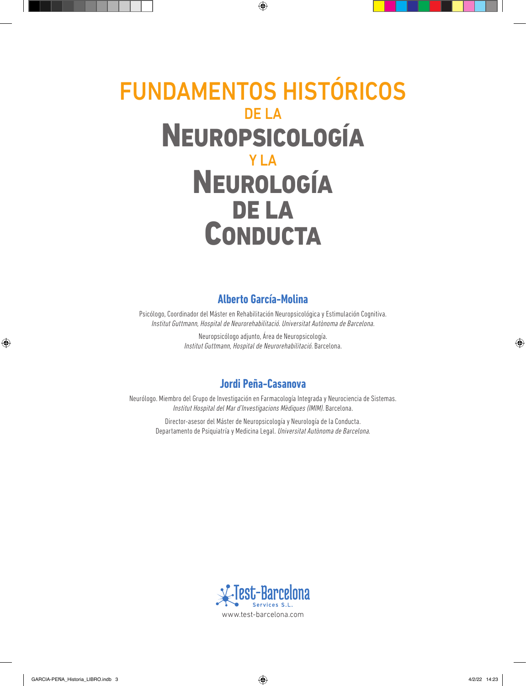# FUNDAMENTOS HISTÓRICOS DE LA NEUROPSICOLOGÍA Y LA NEUROLOGÍA DE LA CONDUCTA

### **Alberto García-Molina**

Psicólogo, Coordinador del Máster en Rehabilitación Neuropsicológica y Estimulación Cognitiva. Institut Guttmann, Hospital de Neurorehabilitació. Universitat Autònoma de Barcelona.

> Neuropsicólogo adjunto, Área de Neuropsicología. Institut Guttmann, Hospital de Neurorehabilitació. Barcelona.

### **Jordi Peña-Casanova**

Neurólogo. Miembro del Grupo de Investigación en Farmacología Integrada y Neurociencia de Sistemas. Institut Hospital del Mar d'Investigacions Mèdiques (IMIM). Barcelona.

Director-asesor del Máster de Neuropsicología y Neurología de la Conducta. Departamento de Psiquiatría y Medicina Legal. Universitat Autònoma de Barcelona.

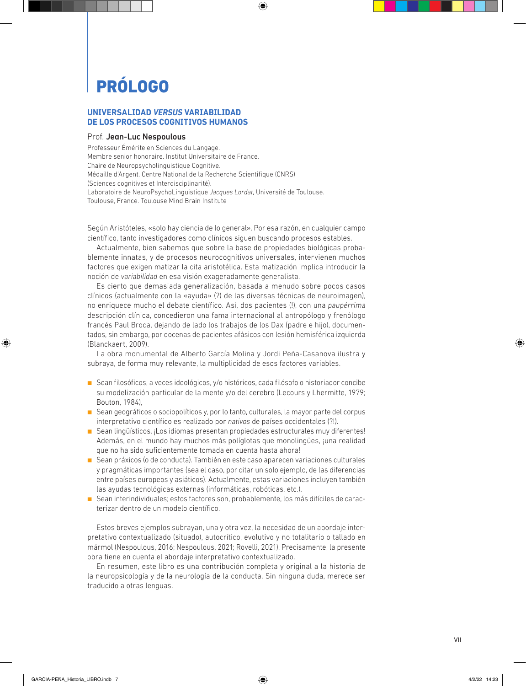# PRÓLOGO

### **UNIVERSALIDAD** *VERSUS* **VARIABILIDAD DE LOS PROCESOS COGNITIVOS HUMANOS**

#### Prof. Jean-Luc Nespoulous

Professeur Émérite en Sciences du Langage. Membre senior honoraire. Institut Universitaire de France. Chaire de Neuropsycholinguistique Cognitive. Médaille d'Argent. Centre National de la Recherche Scientifique (CNRS) (Sciences cognitives et Interdisciplinarité). Laboratoire de NeuroPsychoLinguistique *Jacques Lordat*, Université de Toulouse. Toulouse, France. Toulouse Mind Brain Institute

Según Aristóteles, «solo hay ciencia de lo general». Por esa razón, en cualquier campo científico, tanto investigadores como clínicos siguen buscando procesos estables.

Actualmente, bien sabemos que sobre la base de propiedades biológicas probablemente innatas, y de procesos neurocognitivos universales, intervienen muchos factores que exigen matizar la cita aristotélica. Esta matización implica introducir la noción de *variabilidad* en esa visión exageradamente generalista.

Es cierto que demasiada generalización, basada a menudo sobre pocos casos clínicos (actualmente con la «ayuda» (?) de las diversas técnicas de neuroimagen), no enriquece mucho el debate científico. Así, dos pacientes (!), con una *paupérrima* descripción clínica, concedieron una fama internacional al antropólogo y frenólogo francés Paul Broca, dejando de lado los trabajos de los Dax (padre e hijo), documentados, sin embargo, por docenas de pacientes afásicos con lesión hemisférica izquierda (Blanckaert, 2009).

La obra monumental de Alberto García Molina y Jordi Peña-Casanova ilustra y subraya, de forma muy relevante, la multiplicidad de esos factores variables.

- Sean filosóficos, a veces ideológicos, y/o históricos, cada filósofo o historiador concibe su modelización particular de la mente y/o del cerebro (Lecours y Lhermitte, 1979; Bouton, 1984),
- Sean geográficos o sociopolíticos y, por lo tanto, culturales, la mayor parte del corpus interpretativo científico es realizado por *nativos* de países occidentales (?!).
- Sean lingüísticos. ¡Los idiomas presentan propiedades estructurales muy diferentes! Además, en el mundo hay muchos más políglotas que monolingües, ¡una realidad que no ha sido suficientemente tomada en cuenta hasta ahora!
- Sean práxicos (o de conducta). También en este caso aparecen variaciones culturales y pragmáticas importantes (sea el caso, por citar un solo ejemplo, de las diferencias entre países europeos y asiáticos). Actualmente, estas variaciones incluyen también las ayudas tecnológicas externas (informáticas, robóticas, etc.).
- Sean interindividuales; estos factores son, probablemente, los más difíciles de caracterizar dentro de un modelo científico.

Estos breves ejemplos subrayan, una y otra vez, la necesidad de un abordaje interpretativo contextualizado (situado), autocrítico, evolutivo y no totalitario o tallado en mármol (Nespoulous, 2016; Nespoulous, 2021; Rovelli, 2021). Precisamente, la presente obra tiene en cuenta el abordaje interpretativo contextualizado.

En resumen, este libro es una contribución completa y original a la historia de la neuropsicología y de la neurología de la conducta. Sin ninguna duda, merece ser traducido a otras lenguas.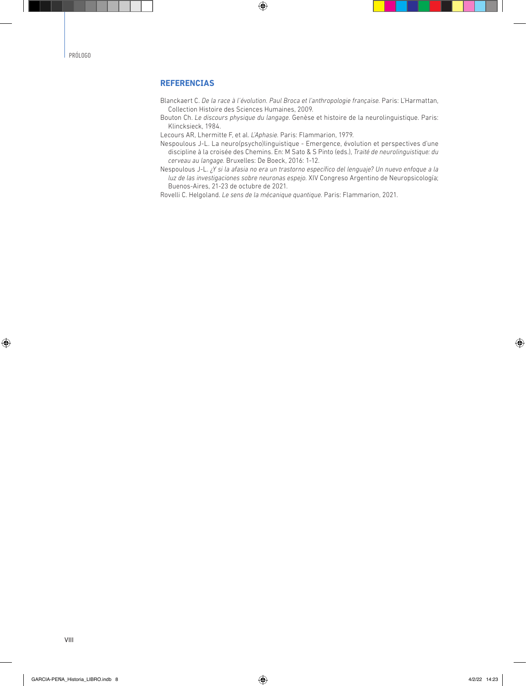### **REFERENCIAS**

- Blanckaert C. *De la race à l'évolution. Paul Broca et l'anthropologie française.* Paris: L'Harmattan, Collection Histoire des Sciences Humaines, 2009.
- Bouton Ch. *Le discours physique du langage.* Genèse et histoire de la neurolinguistique. Paris: Klincksieck, 1984.

Lecours AR, Lhermitte F, et al. *L'Aphasie.* Paris: Flammarion, 1979.

- Nespoulous J-L. La neuro(psycho)linguistique Emergence, évolution et perspectives d'une discipline à la croisée des Chemins. En: M Sato & S Pinto (eds.), *Traité de neurolinguistique: du cerveau au langage.* Bruxelles: De Boeck, 2016: 1-12.
- Nespoulous J-L. *¿Y si la afasia no era un trastorno específico del lenguaje? Un nuevo enfoque a la luz de las investigaciones sobre neuronas espejo.* XIV Congreso Argentino de Neuropsicología; Buenos-Aires, 21-23 de octubre de 2021.

Rovelli C. Helgoland. *Le sens de la mécanique quantique.* Paris: Flammarion, 2021.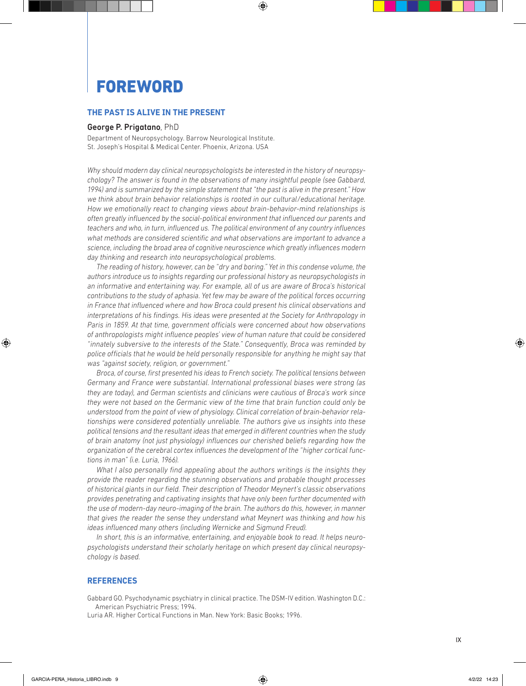### **FOREWORD**

### **THE PAST IS ALIVE IN THE PRESENT**

#### George P. Prigatano, PhD

Department of Neuropsychology. Barrow Neurological Institute. St. Joseph's Hospital & Medical Center. Phoenix, Arizona. USA

*Why should modern day clinical neuropsychologists be interested in the history of neuropsychology? The answer is found in the observations of many insightful people (see Gabbard, 1994) and is summarized by the simple statement that "the past is alive in the present." How we think about brain behavior relationships is rooted in our cultural/educational heritage. How we emotionally react to changing views about brain-behavior-mind relationships is often greatly influenced by the social-political environment that influenced our parents and teachers and who, in turn, influenced us. The political environment of any country influences what methods are considered scientific and what observations are important to advance a science, including the broad area of cognitive neuroscience which greatly influences modern day thinking and research into neuropsychological problems.*

*The reading of history, however, can be "dry and boring." Yet in this condense volume, the authors introduce us to insights regarding our professional history as neuropsychologists in an informative and entertaining way. For example, all of us are aware of Broca's historical contributions to the study of aphasia. Yet few may be aware of the political forces occurring in France that influenced where and how Broca could present his clinical observations and interpretations of his findings. His ideas were presented at the Society for Anthropology in Paris in 1859. At that time, government officials were concerned about how observations of anthropologists might influence peoples' view of human nature that could be considered "innately subversive to the interests of the State." Consequently, Broca was reminded by police officials that he would be held personally responsible for anything he might say that was "against society, religion, or government."*

*Broca, of course, first presented his ideas to French society. The political tensions between Germany and France were substantial. International professional biases were strong (as they are today), and German scientists and clinicians were cautious of Broca's work since they were not based on the Germanic view of the time that brain function could only be understood from the point of view of physiology. Clinical correlation of brain-behavior relationships were considered potentially unreliable. The authors give us insights into these political tensions and the resultant ideas that emerged in different countries when the study of brain anatomy (not just physiology) influences our cherished beliefs regarding how the organization of the cerebral cortex influences the development of the "higher cortical functions in man" (i.e. Luria, 1966).*

*What I also personally find appealing about the authors writings is the insights they provide the reader regarding the stunning observations and probable thought processes of historical giants in our field. Their description of Theodor Meynert's classic observations provides penetrating and captivating insights that have only been further documented with the use of modern-day neuro-imaging of the brain. The authors do this, however, in manner that gives the reader the sense they understand what Meynert was thinking and how his ideas influenced many others (including Wernicke and Sigmund Freud).*

*In short, this is an informative, entertaining, and enjoyable book to read. It helps neuropsychologists understand their scholarly heritage on which present day clinical neuropsychology is based.*

### **REFERENCES**

Gabbard GO. Psychodynamic psychiatry in clinical practice. The DSM-IV edition. Washington D.C.: American Psychiatric Press; 1994.

Luria AR. Higher Cortical Functions in Man. New York: Basic Books; 1996.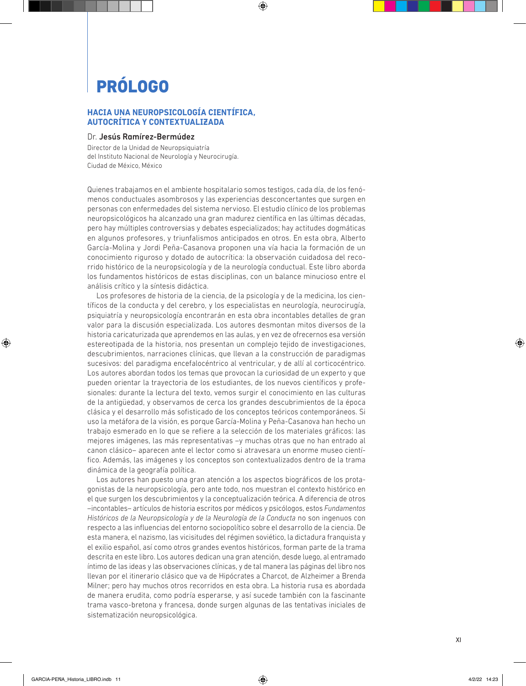## PRÓLOGO

### **HACIA UNA NEUROPSICOLOGÍA CIENTÍFICA, AUTOCRÍTICA Y CONTEXTUALIZADA**

### Dr. Jesús Ramírez-Bermúdez

Director de la Unidad de Neuropsiquiatría del Instituto Nacional de Neurología y Neurocirugía. Ciudad de México, México

Quienes trabajamos en el ambiente hospitalario somos testigos, cada día, de los fenómenos conductuales asombrosos y las experiencias desconcertantes que surgen en personas con enfermedades del sistema nervioso. El estudio clínico de los problemas neuropsicológicos ha alcanzado una gran madurez científica en las últimas décadas, pero hay múltiples controversias y debates especializados; hay actitudes dogmáticas en algunos profesores, y triunfalismos anticipados en otros. En esta obra, Alberto García-Molina y Jordi Peña-Casanova proponen una vía hacia la formación de un conocimiento riguroso y dotado de autocrítica: la observación cuidadosa del recorrido histórico de la neuropsicología y de la neurología conductual. Este libro aborda los fundamentos históricos de estas disciplinas, con un balance minucioso entre el análisis crítico y la síntesis didáctica.

Los profesores de historia de la ciencia, de la psicología y de la medicina, los científicos de la conducta y del cerebro, y los especialistas en neurología, neurocirugía, psiquiatría y neuropsicología encontrarán en esta obra incontables detalles de gran valor para la discusión especializada. Los autores desmontan mitos diversos de la historia caricaturizada que aprendemos en las aulas, y en vez de ofrecernos esa versión estereotipada de la historia, nos presentan un complejo tejido de investigaciones, descubrimientos, narraciones clínicas, que llevan a la construcción de paradigmas sucesivos: del paradigma encefalocéntrico al ventricular, y de allí al corticocéntrico. Los autores abordan todos los temas que provocan la curiosidad de un experto y que pueden orientar la trayectoria de los estudiantes, de los nuevos científicos y profesionales: durante la lectura del texto, vemos surgir el conocimiento en las culturas de la antigüedad, y observamos de cerca los grandes descubrimientos de la época clásica y el desarrollo más sofisticado de los conceptos teóricos contemporáneos. Si uso la metáfora de la visión, es porque García-Molina y Peña-Casanova han hecho un trabajo esmerado en lo que se refiere a la selección de los materiales gráficos: las mejores imágenes, las más representativas –y muchas otras que no han entrado al canon clásico– aparecen ante el lector como si atravesara un enorme museo científico. Además, las imágenes y los conceptos son contextualizados dentro de la trama dinámica de la geografía política.

Los autores han puesto una gran atención a los aspectos biográficos de los protagonistas de la neuropsicología, pero ante todo, nos muestran el contexto histórico en el que surgen los descubrimientos y la conceptualización teórica. A diferencia de otros –incontables– artículos de historia escritos por médicos y psicólogos, estos *Fundamentos Históricos de la Neuropsicología y de la Neurología de la Conducta* no son ingenuos con respecto a las influencias del entorno sociopolítico sobre el desarrollo de la ciencia. De esta manera, el nazismo, las vicisitudes del régimen soviético, la dictadura franquista y el exilio español, así como otros grandes eventos históricos, forman parte de la trama descrita en este libro. Los autores dedican una gran atención, desde luego, al entramado íntimo de las ideas y las observaciones clínicas, y de tal manera las páginas del libro nos llevan por el itinerario clásico que va de Hipócrates a Charcot, de Alzheimer a Brenda Milner; pero hay muchos otros recorridos en esta obra. La historia rusa es abordada de manera erudita, como podría esperarse, y así sucede también con la fascinante trama vasco-bretona y francesa, donde surgen algunas de las tentativas iniciales de sistematización neuropsicológica.